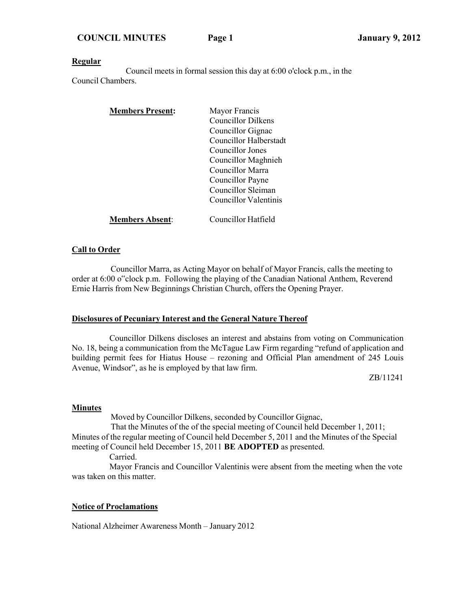**COUNCIL MINUTES Page 1 January 9, 2012**

#### **Regular**

Council meets in formal session this day at 6:00 o'clock p.m., in the Council Chambers.

| <b>Members Present:</b> | Mayor Francis          |  |
|-------------------------|------------------------|--|
|                         | Councillor Dilkens     |  |
|                         | Councillor Gignac      |  |
|                         | Councillor Halberstadt |  |
|                         | Councillor Jones       |  |
|                         | Councillor Maghnieh    |  |
|                         | Councillor Marra       |  |
|                         | Councillor Payne       |  |
|                         | Councillor Sleiman     |  |
|                         | Councillor Valentinis  |  |
| <b>Members Absent:</b>  | Councillor Hatfield    |  |

#### **Call to Order**

Councillor Marra, as Acting Mayor on behalf of Mayor Francis, calls the meeting to order at 6:00 o"clock p.m. Following the playing of the Canadian National Anthem, Reverend Ernie Harris from New Beginnings Christian Church, offers the Opening Prayer.

#### **Disclosures of Pecuniary Interest and the General Nature Thereof**

Councillor Dilkens discloses an interest and abstains from voting on Communication No. 18, being a communication from the McTague Law Firm regarding "refund of application and building permit fees for Hiatus House – rezoning and Official Plan amendment of 245 Louis Avenue, Windsor", as he is employed by that law firm.

ZB/11241

#### **Minutes**

Moved by Councillor Dilkens, seconded by Councillor Gignac,

That the Minutes of the of the special meeting of Council held December 1, 2011; Minutes of the regular meeting of Council held December 5, 2011 and the Minutes of the Special meeting of Council held December 15, 2011 **BE ADOPTED** as presented.

Carried.

Mayor Francis and Councillor Valentinis were absent from the meeting when the vote was taken on this matter.

#### **Notice of Proclamations**

National Alzheimer Awareness Month – January 2012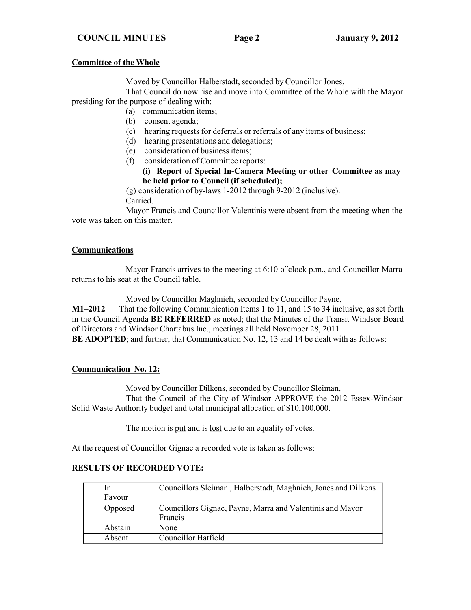#### **COUNCIL MINUTES Page 2 January 9, 2012**

#### **Committee of the Whole**

Moved by Councillor Halberstadt, seconded by Councillor Jones,

That Council do now rise and move into Committee of the Whole with the Mayor presiding for the purpose of dealing with:

- (a) communication items;
	- (b) consent agenda;
	- (c) hearing requests for deferrals or referrals of any items of business;
	- (d) hearing presentations and delegations;
	- (e) consideration of business items;
	- (f) consideration of Committee reports:

#### **(i) Report of Special In-Camera Meeting or other Committee as may be held prior to Council (if scheduled);**

(g) consideration of by-laws 1-2012 through 9-2012 (inclusive). Carried.

Mayor Francis and Councillor Valentinis were absent from the meeting when the vote was taken on this matter.

#### **Communications**

Mayor Francis arrives to the meeting at 6:10 o"clock p.m., and Councillor Marra returns to his seat at the Council table.

Moved by Councillor Maghnieh, seconded by Councillor Payne, **M1–2012** That the following Communication Items 1 to 11, and 15 to 34 inclusive, as set forth in the Council Agenda **BE REFERRED** as noted; that the Minutes of the Transit Windsor Board of Directors and Windsor Chartabus Inc., meetings all held November 28, 2011 **BE ADOPTED**; and further, that Communication No. 12, 13 and 14 be dealt with as follows:

### **Communication No. 12:**

Moved by Councillor Dilkens, seconded by Councillor Sleiman,

That the Council of the City of Windsor APPROVE the 2012 Essex-Windsor Solid Waste Authority budget and total municipal allocation of \$10,100,000.

The motion is put and is <u>lost</u> due to an equality of votes.

At the request of Councillor Gignac a recorded vote is taken as follows:

| In      | Councillors Sleiman, Halberstadt, Maghnieh, Jones and Dilkens |
|---------|---------------------------------------------------------------|
| Favour  |                                                               |
| Opposed | Councillors Gignac, Payne, Marra and Valentinis and Mayor     |
|         | Francis                                                       |
| Abstain | None                                                          |
| Absent  | Councillor Hatfield                                           |

#### **RESULTS OF RECORDED VOTE:**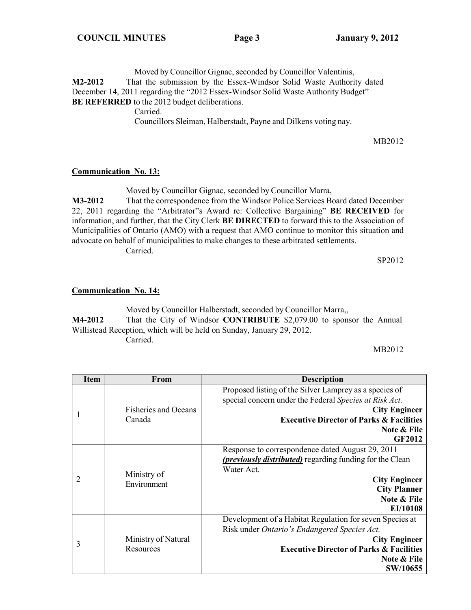Moved by Councillor Gignac, seconded by Councillor Valentinis, **M2-2012** That the submission by the Essex-Windsor Solid Waste Authority dated December 14, 2011 regarding the "2012 Essex-Windsor Solid Waste Authority Budget" **BE REFERRED** to the 2012 budget deliberations.

Carried.

Councillors Sleiman, Halberstadt, Payne and Dilkens voting nay.

MB2012

### **Communication No. 13:**

Moved by Councillor Gignac, seconded by Councillor Marra,

**M3-2012** That the correspondence from the Windsor Police Services Board dated December 22, 2011 regarding the "Arbitrator"s Award re: Collective Bargaining" **BE RECEIVED** for information, and further, that the City Clerk **BE DIRECTED** to forward this to the Association of Municipalities of Ontario (AMO) with a request that AMO continue to monitor this situation and advocate on behalf of municipalities to make changes to these arbitrated settlements.

Carried.

SP2012

### **Communication No. 14:**

Moved by Councillor Halberstadt, seconded by Councillor Marra,, **M4-2012** That the City of Windsor **CONTRIBUTE** \$2,079.00 to sponsor the Annual Willistead Reception, which will be held on Sunday, January 29, 2012. Carried.

MB2012

| <b>Item</b> | <b>From</b>                      | <b>Description</b>                                       |
|-------------|----------------------------------|----------------------------------------------------------|
|             |                                  | Proposed listing of the Silver Lamprey as a species of   |
|             |                                  | special concern under the Federal Species at Risk Act.   |
|             | <b>Fisheries and Oceans</b>      | <b>City Engineer</b>                                     |
|             | Canada                           | <b>Executive Director of Parks &amp; Facilities</b>      |
|             |                                  | Note & File                                              |
|             |                                  | <b>GF2012</b>                                            |
|             |                                  | Response to correspondence dated August 29, 2011         |
|             | Ministry of<br>Environment       | (previously distributed) regarding funding for the Clean |
|             |                                  | Water Act.                                               |
|             |                                  | <b>City Engineer</b>                                     |
|             |                                  | <b>City Planner</b>                                      |
|             |                                  | Note & File                                              |
|             |                                  | EI/10108                                                 |
|             |                                  | Development of a Habitat Regulation for seven Species at |
| 3           | Ministry of Natural<br>Resources | Risk under Ontario's Endangered Species Act.             |
|             |                                  | <b>City Engineer</b>                                     |
|             |                                  | <b>Executive Director of Parks &amp; Facilities</b>      |
|             |                                  | Note & File                                              |
|             |                                  | SW/10655                                                 |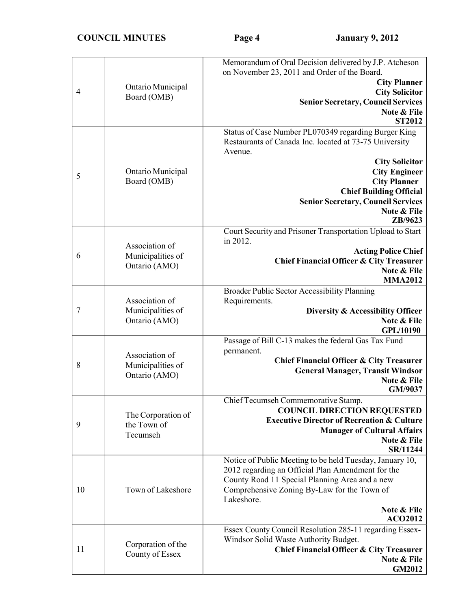| 4  | Ontario Municipal<br>Board (OMB)                     | Memorandum of Oral Decision delivered by J.P. Atcheson<br>on November 23, 2011 and Order of the Board.<br><b>City Planner</b><br><b>City Solicitor</b><br><b>Senior Secretary, Council Services</b><br>Note & File<br><b>ST2012</b>                                                                        |
|----|------------------------------------------------------|------------------------------------------------------------------------------------------------------------------------------------------------------------------------------------------------------------------------------------------------------------------------------------------------------------|
| 5  | Ontario Municipal<br>Board (OMB)                     | Status of Case Number PL070349 regarding Burger King<br>Restaurants of Canada Inc. located at 73-75 University<br>Avenue.<br><b>City Solicitor</b><br><b>City Engineer</b><br><b>City Planner</b><br><b>Chief Building Official</b><br><b>Senior Secretary, Council Services</b><br>Note & File<br>ZB/9623 |
| 6  | Association of<br>Municipalities of<br>Ontario (AMO) | Court Security and Prisoner Transportation Upload to Start<br>in 2012.<br><b>Acting Police Chief</b><br><b>Chief Financial Officer &amp; City Treasurer</b><br>Note & File<br><b>MMA2012</b>                                                                                                               |
| 7  | Association of<br>Municipalities of<br>Ontario (AMO) | Broader Public Sector Accessibility Planning<br>Requirements.<br>Diversity & Accessibility Officer<br>Note & File<br>GPL/10190                                                                                                                                                                             |
| 8  | Association of<br>Municipalities of<br>Ontario (AMO) | Passage of Bill C-13 makes the federal Gas Tax Fund<br>permanent.<br><b>Chief Financial Officer &amp; City Treasurer</b><br><b>General Manager, Transit Windsor</b><br>Note & File<br>GM/9037                                                                                                              |
| 9  | The Corporation of<br>the Town of<br>Tecumseh        | Chief Tecumseh Commemorative Stamp.<br><b>COUNCIL DIRECTION REQUESTED</b><br><b>Executive Director of Recreation &amp; Culture</b><br><b>Manager of Cultural Affairs</b><br>Note & File<br>SR/11244                                                                                                        |
| 10 | Town of Lakeshore                                    | Notice of Public Meeting to be held Tuesday, January 10,<br>2012 regarding an Official Plan Amendment for the<br>County Road 11 Special Planning Area and a new<br>Comprehensive Zoning By-Law for the Town of<br>Lakeshore.<br>Note & File<br><b>ACO2012</b>                                              |
| 11 | Corporation of the<br>County of Essex                | Essex County Council Resolution 285-11 regarding Essex-<br>Windsor Solid Waste Authority Budget.<br><b>Chief Financial Officer &amp; City Treasurer</b><br>Note & File<br><b>GM2012</b>                                                                                                                    |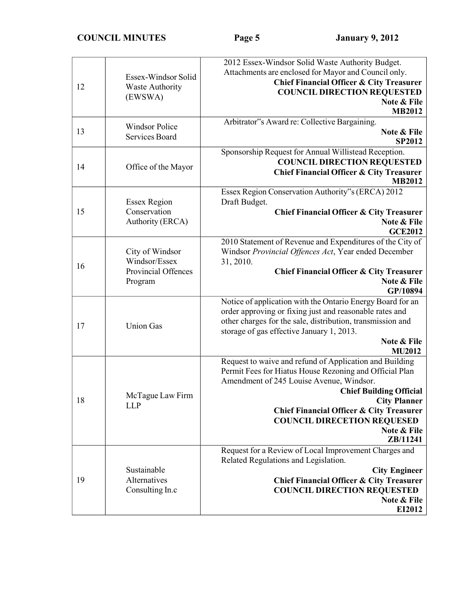| 12 | Essex-Windsor Solid<br><b>Waste Authority</b><br>(EWSWA)           | 2012 Essex-Windsor Solid Waste Authority Budget.<br>Attachments are enclosed for Mayor and Council only.<br><b>Chief Financial Officer &amp; City Treasurer</b><br><b>COUNCIL DIRECTION REQUESTED</b><br>Note & File<br><b>MB2012</b>                                                                                                           |
|----|--------------------------------------------------------------------|-------------------------------------------------------------------------------------------------------------------------------------------------------------------------------------------------------------------------------------------------------------------------------------------------------------------------------------------------|
| 13 | <b>Windsor Police</b><br>Services Board                            | Arbitrator"s Award re: Collective Bargaining.<br>Note & File<br><b>SP2012</b>                                                                                                                                                                                                                                                                   |
| 14 | Office of the Mayor                                                | Sponsorship Request for Annual Willistead Reception.<br><b>COUNCIL DIRECTION REQUESTED</b><br><b>Chief Financial Officer &amp; City Treasurer</b><br><b>MB2012</b>                                                                                                                                                                              |
| 15 | <b>Essex Region</b><br>Conservation<br>Authority (ERCA)            | Essex Region Conservation Authority"s (ERCA) 2012<br>Draft Budget.<br><b>Chief Financial Officer &amp; City Treasurer</b><br>Note & File<br><b>GCE2012</b>                                                                                                                                                                                      |
| 16 | City of Windsor<br>Windsor/Essex<br>Provincial Offences<br>Program | 2010 Statement of Revenue and Expenditures of the City of<br>Windsor Provincial Offences Act, Year ended December<br>31, 2010.<br><b>Chief Financial Officer &amp; City Treasurer</b><br>Note & File<br>GP/10894                                                                                                                                |
| 17 | <b>Union Gas</b>                                                   | Notice of application with the Ontario Energy Board for an<br>order approving or fixing just and reasonable rates and<br>other charges for the sale, distribution, transmission and<br>storage of gas effective January 1, 2013.<br>Note & File<br><b>MU2012</b>                                                                                |
| 18 | McTague Law Firm<br><b>LLP</b>                                     | Request to waive and refund of Application and Building<br>Permit Fees for Hiatus House Rezoning and Official Plan<br>Amendment of 245 Louise Avenue, Windsor.<br><b>Chief Building Official</b><br><b>City Planner</b><br><b>Chief Financial Officer &amp; City Treasurer</b><br><b>COUNCIL DIRECETION REQUESED</b><br>Note & File<br>ZB/11241 |
| 19 | Sustainable<br>Alternatives<br>Consulting In.c                     | Request for a Review of Local Improvement Charges and<br>Related Regulations and Legislation.<br><b>City Engineer</b><br><b>Chief Financial Officer &amp; City Treasurer</b><br><b>COUNCIL DIRECTION REQUESTED</b><br>Note & File<br>EI2012                                                                                                     |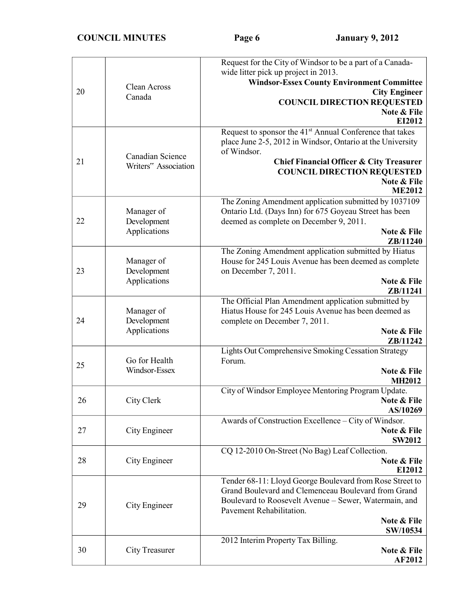| 20 | Clean Across<br>Canada                    | Request for the City of Windsor to be a part of a Canada-<br>wide litter pick up project in 2013.<br><b>Windsor-Essex County Environment Committee</b><br><b>City Engineer</b><br><b>COUNCIL DIRECTION REQUESTED</b><br>Note & File<br>EI2012                       |
|----|-------------------------------------------|---------------------------------------------------------------------------------------------------------------------------------------------------------------------------------------------------------------------------------------------------------------------|
| 21 | Canadian Science<br>Writers" Association  | Request to sponsor the 41 <sup>st</sup> Annual Conference that takes<br>place June 2-5, 2012 in Windsor, Ontario at the University<br>of Windsor.<br>Chief Financial Officer & City Treasurer<br><b>COUNCIL DIRECTION REQUESTED</b><br>Note & File<br><b>ME2012</b> |
| 22 | Manager of<br>Development<br>Applications | The Zoning Amendment application submitted by 1037109<br>Ontario Ltd. (Days Inn) for 675 Goyeau Street has been<br>deemed as complete on December 9, 2011.<br>Note & File<br>ZB/11240                                                                               |
| 23 | Manager of<br>Development<br>Applications | The Zoning Amendment application submitted by Hiatus<br>House for 245 Louis Avenue has been deemed as complete<br>on December 7, 2011.<br>Note & File<br>ZB/11241                                                                                                   |
| 24 | Manager of<br>Development<br>Applications | The Official Plan Amendment application submitted by<br>Hiatus House for 245 Louis Avenue has been deemed as<br>complete on December 7, 2011.<br>Note & File<br>ZB/11242                                                                                            |
| 25 | Go for Health<br>Windsor-Essex            | Lights Out Comprehensive Smoking Cessation Strategy<br>Forum.<br>Note & File<br><b>MH2012</b>                                                                                                                                                                       |
| 26 | City Clerk                                | City of Windsor Employee Mentoring Program Update.<br>Note & File<br>AS/10269                                                                                                                                                                                       |
| 27 | City Engineer                             | Awards of Construction Excellence - City of Windsor.<br>Note & File<br><b>SW2012</b>                                                                                                                                                                                |
| 28 | City Engineer                             | CQ 12-2010 On-Street (No Bag) Leaf Collection.<br>Note & File<br>EI2012                                                                                                                                                                                             |
| 29 | City Engineer                             | Tender 68-11: Lloyd George Boulevard from Rose Street to<br>Grand Boulevard and Clemenceau Boulevard from Grand<br>Boulevard to Roosevelt Avenue - Sewer, Watermain, and<br>Pavement Rehabilitation.<br>Note & File<br>SW/10534                                     |
| 30 | City Treasurer                            | 2012 Interim Property Tax Billing.<br>Note & File<br><b>AF2012</b>                                                                                                                                                                                                  |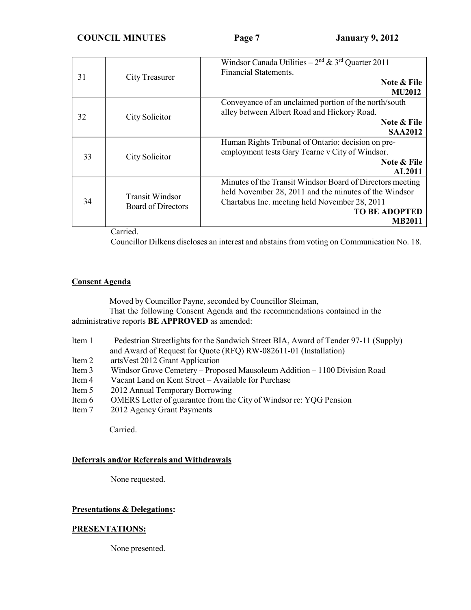**COUNCIL MINUTES Page 7 January 9, 2012**

| 31 | City Treasurer                                                         | Windsor Canada Utilities – $2nd$ & $3rd$ Quarter 2011<br>Financial Statements.<br>Note & File<br><b>MU2012</b>                                                                                               |
|----|------------------------------------------------------------------------|--------------------------------------------------------------------------------------------------------------------------------------------------------------------------------------------------------------|
| 32 | City Solicitor                                                         | Conveyance of an unclaimed portion of the north/south<br>alley between Albert Road and Hickory Road.<br><b>Note &amp; File</b><br><b>SAA2012</b>                                                             |
| 33 | City Solicitor                                                         | Human Rights Tribunal of Ontario: decision on pre-<br>employment tests Gary Tearne v City of Windsor.<br>Note & File<br><b>AL2011</b>                                                                        |
| 34 | <b>Transit Windsor</b><br><b>Board of Directors</b><br>$\cdot$ $\cdot$ | Minutes of the Transit Windsor Board of Directors meeting<br>held November 28, 2011 and the minutes of the Windsor<br>Chartabus Inc. meeting held November 28, 2011<br><b>TO BE ADOPTED</b><br><b>MB2011</b> |

Carried.

Councillor Dilkens discloses an interest and abstains from voting on Communication No. 18.

#### **Consent Agenda**

Moved by Councillor Payne, seconded by Councillor Sleiman,

That the following Consent Agenda and the recommendations contained in the administrative reports **BE APPROVED** as amended:

- Item 1 Pedestrian Streetlights for the Sandwich Street BIA, Award of Tender 97-11 (Supply) and Award of Request for Quote (RFQ) RW-082611-01 (Installation)
- Item 2 artsVest 2012 Grant Application
- Item 3 Windsor Grove Cemetery Proposed Mausoleum Addition 1100 Division Road
- Item 4 Vacant Land on Kent Street Available for Purchase
- Item 5 2012 Annual Temporary Borrowing
- Item 6 OMERS Letter of guarantee from the City of Windsor re: YQG Pension
- Item 7 2012 Agency Grant Payments

Carried.

### **Deferrals and/or Referrals and Withdrawals**

None requested.

### **Presentations & Delegations:**

### **PRESENTATIONS:**

None presented.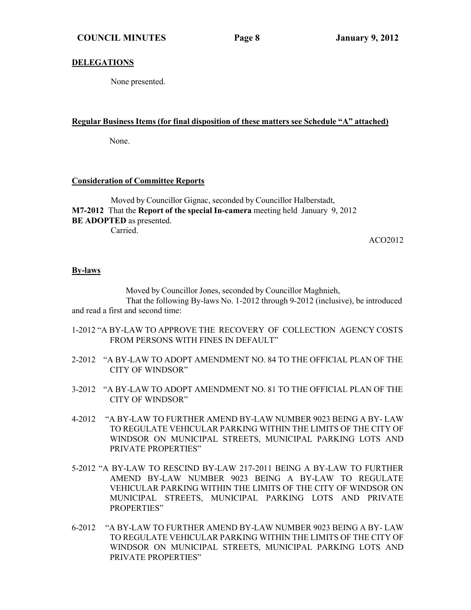#### **DELEGATIONS**

None presented.

#### **Regular Business Items (for final disposition of these matters see Schedule "A" attached)**

None.

#### **Consideration of Committee Reports**

Moved by Councillor Gignac, seconded by Councillor Halberstadt, **M7-2012** That the **Report of the special In-camera** meeting held January 9, 2012 **BE ADOPTED** as presented. Carried.

ACO2012

#### **By-laws**

Moved by Councillor Jones, seconded by Councillor Maghnieh, That the following By-laws No. 1-2012 through 9-2012 (inclusive), be introduced and read a first and second time:

- 1-2012 "A BY-LAW TO APPROVE THE RECOVERY OF COLLECTION AGENCY COSTS FROM PERSONS WITH FINES IN DEFAULT"
- 2-2012 "A BY-LAW TO ADOPT AMENDMENT NO. 84 TO THE OFFICIAL PLAN OF THE CITY OF WINDSOR"
- 3-2012 "A BY-LAW TO ADOPT AMENDMENT NO. 81 TO THE OFFICIAL PLAN OF THE CITY OF WINDSOR"
- 4-2012 "A BY-LAW TO FURTHER AMEND BY-LAW NUMBER 9023 BEING A BY- LAW TO REGULATE VEHICULAR PARKING WITHIN THE LIMITS OF THE CITY OF WINDSOR ON MUNICIPAL STREETS, MUNICIPAL PARKING LOTS AND PRIVATE PROPERTIES"
- 5-2012 "A BY-LAW TO RESCIND BY-LAW 217-2011 BEING A BY-LAW TO FURTHER AMEND BY-LAW NUMBER 9023 BEING A BY-LAW TO REGULATE VEHICULAR PARKING WITHIN THE LIMITS OF THE CITY OF WINDSOR ON MUNICIPAL STREETS, MUNICIPAL PARKING LOTS AND PRIVATE PROPERTIES"
- 6-2012 "A BY-LAW TO FURTHER AMEND BY-LAW NUMBER 9023 BEING A BY- LAW TO REGULATE VEHICULAR PARKING WITHIN THE LIMITS OF THE CITY OF WINDSOR ON MUNICIPAL STREETS, MUNICIPAL PARKING LOTS AND PRIVATE PROPERTIES"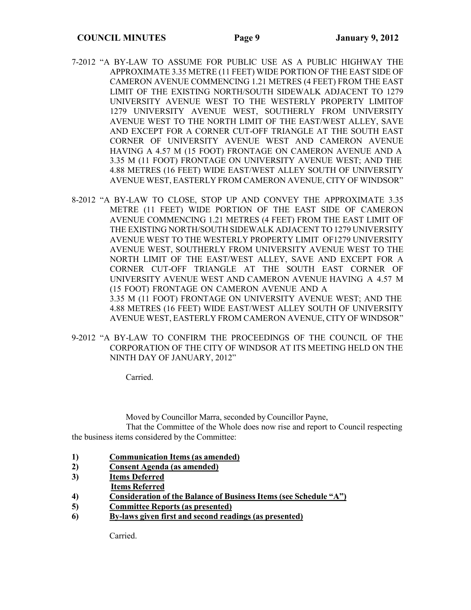- 7-2012 "A BY-LAW TO ASSUME FOR PUBLIC USE AS A PUBLIC HIGHWAY THE APPROXIMATE 3.35 METRE (11 FEET) WIDE PORTION OF THE EAST SIDE OF CAMERON AVENUE COMMENCING 1.21 METRES (4 FEET) FROM THE EAST LIMIT OF THE EXISTING NORTH/SOUTH SIDEWALK ADJACENT TO 1279 UNIVERSITY AVENUE WEST TO THE WESTERLY PROPERTY LIMITOF 1279 UNIVERSITY AVENUE WEST, SOUTHERLY FROM UNIVERSITY AVENUE WEST TO THE NORTH LIMIT OF THE EAST/WEST ALLEY, SAVE AND EXCEPT FOR A CORNER CUT-OFF TRIANGLE AT THE SOUTH EAST CORNER OF UNIVERSITY AVENUE WEST AND CAMERON AVENUE HAVING A 4.57 M (15 FOOT) FRONTAGE ON CAMERON AVENUE AND A 3.35 M (11 FOOT) FRONTAGE ON UNIVERSITY AVENUE WEST; AND THE 4.88 METRES (16 FEET) WIDE EAST/WEST ALLEY SOUTH OF UNIVERSITY AVENUE WEST, EASTERLY FROM CAMERON AVENUE, CITY OF WINDSOR"
- 8-2012 "A BY-LAW TO CLOSE, STOP UP AND CONVEY THE APPROXIMATE 3.35 METRE (11 FEET) WIDE PORTION OF THE EAST SIDE OF CAMERON AVENUE COMMENCING 1.21 METRES (4 FEET) FROM THE EAST LIMIT OF THE EXISTING NORTH/SOUTH SIDEWALK ADJACENT TO 1279 UNIVERSITY AVENUE WEST TO THE WESTERLY PROPERTY LIMIT OF1279 UNIVERSITY AVENUE WEST, SOUTHERLY FROM UNIVERSITY AVENUE WEST TO THE NORTH LIMIT OF THE EAST/WEST ALLEY, SAVE AND EXCEPT FOR A CORNER CUT-OFF TRIANGLE AT THE SOUTH EAST CORNER OF UNIVERSITY AVENUE WEST AND CAMERON AVENUE HAVING A 4.57 M (15 FOOT) FRONTAGE ON CAMERON AVENUE AND A 3.35 M (11 FOOT) FRONTAGE ON UNIVERSITY AVENUE WEST; AND THE

4.88 METRES (16 FEET) WIDE EAST/WEST ALLEY SOUTH OF UNIVERSITY AVENUE WEST, EASTERLY FROM CAMERON AVENUE, CITY OF WINDSOR"

9-2012 "A BY-LAW TO CONFIRM THE PROCEEDINGS OF THE COUNCIL OF THE CORPORATION OF THE CITY OF WINDSOR AT ITS MEETING HELD ON THE NINTH DAY OF JANUARY, 2012"

Carried.

Moved by Councillor Marra, seconded by Councillor Payne,

That the Committee of the Whole does now rise and report to Council respecting the business items considered by the Committee:

- **1) Communication Items (as amended)**
- **2) Consent Agenda (as amended)**
- **3) Items Deferred**
- **Items Referred**
- **4) Consideration of the Balance of Business Items (see Schedule "A")**
- **5) Committee Reports (as presented)**
- **6) By-laws given first and second readings (as presented)**

Carried.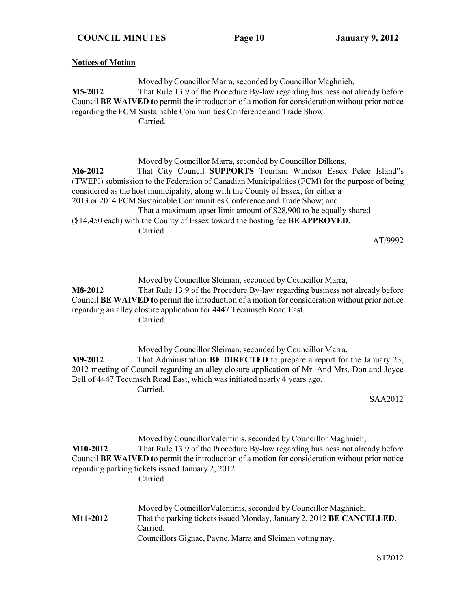#### **Notices of Motion**

Moved by Councillor Marra, seconded by Councillor Maghnieh, **M5-2012** That Rule 13.9 of the Procedure By-law regarding business not already before Council **BE WAIVED t**o permit the introduction of a motion for consideration without prior notice regarding the FCM Sustainable Communities Conference and Trade Show. Carried.

Moved by Councillor Marra, seconded by Councillor Dilkens,

**M6-2012** That City Council **SUPPORTS** Tourism Windsor Essex Pelee Island"s (TWEPI) submission to the Federation of Canadian Municipalities (FCM) for the purpose of being considered as the host municipality, along with the County of Essex, for either a 2013 or 2014 FCM Sustainable Communities Conference and Trade Show; and That a maximum upset limit amount of \$28,900 to be equally shared (\$14,450 each) with the County of Essex toward the hosting fee **BE APPROVED**. Carried.

AT/9992

Moved by Councillor Sleiman, seconded by Councillor Marra, **M8-2012** That Rule 13.9 of the Procedure By-law regarding business not already before Council **BE WAIVED t**o permit the introduction of a motion for consideration without prior notice regarding an alley closure application for 4447 Tecumseh Road East. Carried.

Moved by Councillor Sleiman, seconded by Councillor Marra, **M9-2012** That Administration **BE DIRECTED** to prepare a report for the January 23, 2012 meeting of Council regarding an alley closure application of Mr. And Mrs. Don and Joyce Bell of 4447 Tecumseh Road East, which was initiated nearly 4 years ago. Carried.

SAA2012

Moved by CouncillorValentinis, seconded by Councillor Maghnieh, **M10-2012** That Rule 13.9 of the Procedure By-law regarding business not already before Council **BE WAIVED t**o permit the introduction of a motion for consideration without prior notice regarding parking tickets issued January 2, 2012. Carried. Moved by CouncillorValentinis, seconded by Councillor Maghnieh,

**M11-2012** That the parking tickets issued Monday, January 2, 2012 **BE CANCELLED**. Carried. Councillors Gignac, Payne, Marra and Sleiman voting nay.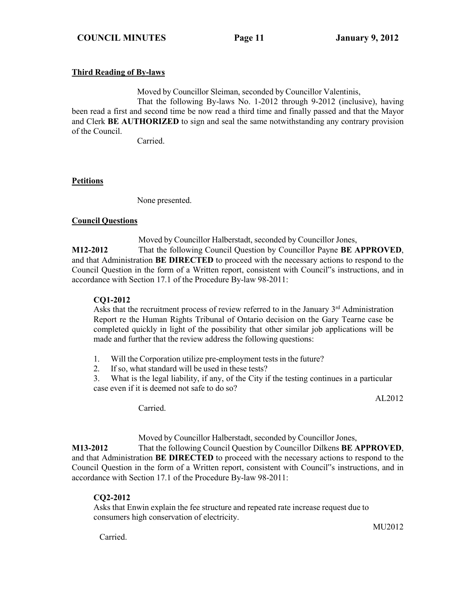### **Third Reading of By-laws**

Moved by Councillor Sleiman, seconded by Councillor Valentinis,

That the following By-laws No. 1-2012 through 9-2012 (inclusive), having been read a first and second time be now read a third time and finally passed and that the Mayor and Clerk **BE AUTHORIZED** to sign and seal the same notwithstanding any contrary provision of the Council.

Carried.

### **Petitions**

None presented.

#### **Council Questions**

Moved by Councillor Halberstadt, seconded by Councillor Jones, **M12-2012** That the following Council Question by Councillor Payne **BE APPROVED**, and that Administration **BE DIRECTED** to proceed with the necessary actions to respond to the Council Question in the form of a Written report, consistent with Council"s instructions, and in accordance with Section 17.1 of the Procedure By-law 98-2011:

### **CQ1-2012**

Asks that the recruitment process of review referred to in the January  $3<sup>rd</sup>$  Administration Report re the Human Rights Tribunal of Ontario decision on the Gary Tearne case be completed quickly in light of the possibility that other similar job applications will be made and further that the review address the following questions:

- 1. Will the Corporation utilize pre-employment tests in the future?
- 2. If so, what standard will be used in these tests?
- 3. What is the legal liability, if any, of the City if the testing continues in a particular case even if it is deemed not safe to do so?

AL2012

Carried.

Moved by Councillor Halberstadt, seconded by Councillor Jones,

**M13-2012** That the following Council Question by Councillor Dilkens **BE APPROVED**, and that Administration **BE DIRECTED** to proceed with the necessary actions to respond to the Council Question in the form of a Written report, consistent with Council"s instructions, and in accordance with Section 17.1 of the Procedure By-law 98-2011:

# **CQ2-2012**

Asks that Enwin explain the fee structure and repeated rate increase request due to consumers high conservation of electricity.

MU<sub>2012</sub>

Carried.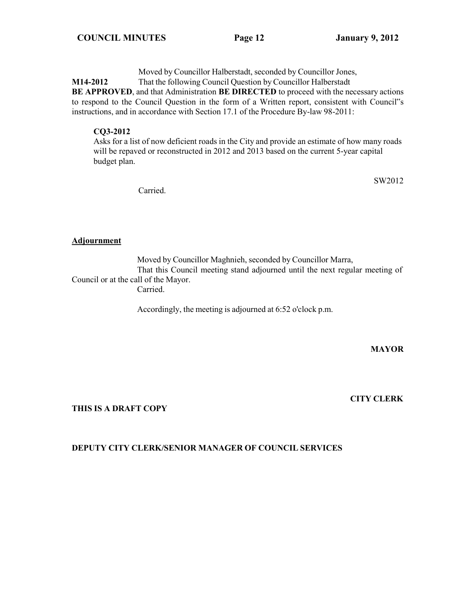Moved by Councillor Halberstadt, seconded by Councillor Jones,

**M14-2012** That the following Council Question by Councillor Halberstadt

**BE APPROVED**, and that Administration **BE DIRECTED** to proceed with the necessary actions to respond to the Council Question in the form of a Written report, consistent with Council"s instructions, and in accordance with Section 17.1 of the Procedure By-law 98-2011:

# **CQ3-2012**

Asks for a list of now deficient roads in the City and provide an estimate of how many roads will be repaved or reconstructed in 2012 and 2013 based on the current 5-year capital budget plan.

SW2012

Carried.

# **Adjournment**

Moved by Councillor Maghnieh, seconded by Councillor Marra, That this Council meeting stand adjourned until the next regular meeting of Council or at the call of the Mayor.

Carried.

Accordingly, the meeting is adjourned at 6:52 o'clock p.m.

### **MAYOR**

# **THIS IS A DRAFT COPY**

### **CITY CLERK**

# **DEPUTY CITY CLERK/SENIOR MANAGER OF COUNCIL SERVICES**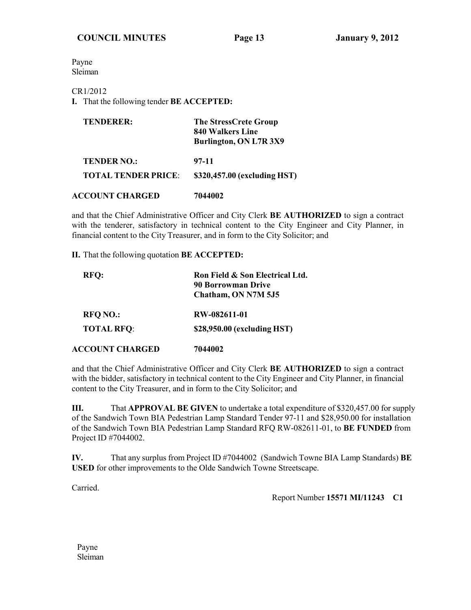Payne Sleiman

### CR1/2012

**I.** That the following tender **BE ACCEPTED:**

| <b>TENDERER:</b>           | <b>The StressCrete Group</b><br>840 Walkers Line<br>Burlington, ON L7R 3X9 |
|----------------------------|----------------------------------------------------------------------------|
| <b>TENDER NO.:</b>         | 97-11                                                                      |
| <b>TOTAL TENDER PRICE:</b> | \$320,457.00 (excluding HST)                                               |
| <b>ACCOUNT CHARGED</b>     | 7044002                                                                    |

and that the Chief Administrative Officer and City Clerk **BE AUTHORIZED** to sign a contract with the tenderer, satisfactory in technical content to the City Engineer and City Planner, in financial content to the City Treasurer, and in form to the City Solicitor; and

#### **II.** That the following quotation **BE ACCEPTED:**

| <b>RFQ:</b>            | Ron Field & Son Electrical Ltd. |  |
|------------------------|---------------------------------|--|
|                        | <b>90 Borrowman Drive</b>       |  |
|                        | Chatham, ON N7M 5J5             |  |
| <b>RFO NO.:</b>        | RW-082611-01                    |  |
| <b>TOTAL RFQ:</b>      | \$28,950.00 (excluding HST)     |  |
| <b>ACCOUNT CHARGED</b> | 7044002                         |  |

and that the Chief Administrative Officer and City Clerk **BE AUTHORIZED** to sign a contract with the bidder, satisfactory in technical content to the City Engineer and City Planner, in financial content to the City Treasurer, and in form to the City Solicitor; and

**III.** That **APPROVAL BE GIVEN** to undertake a total expenditure of \$320,457.00 for supply of the Sandwich Town BIA Pedestrian Lamp Standard Tender 97-11 and \$28,950.00 for installation of the Sandwich Town BIA Pedestrian Lamp Standard RFQ RW-082611-01, to **BE FUNDED** from Project ID #7044002.

**IV.** That any surplus from Project ID #7044002 (Sandwich Towne BIA Lamp Standards) **BE USED** for other improvements to the Olde Sandwich Towne Streetscape.

Carried.

#### Report Number **15571 MI/11243 C1**

Payne Sleiman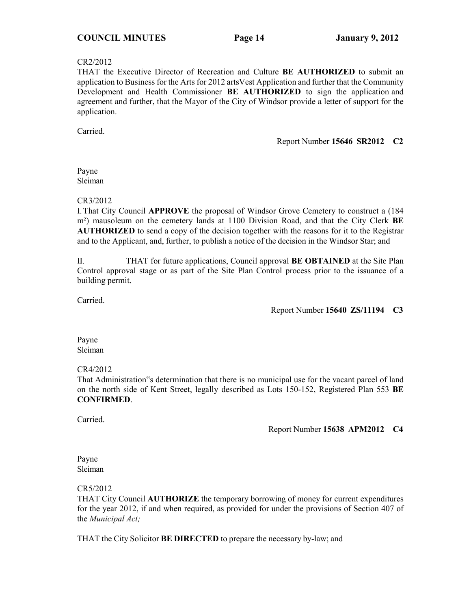#### CR2/2012

THAT the Executive Director of Recreation and Culture **BE AUTHORIZED** to submit an application to Business for the Arts for 2012 artsVest Application and further that the Community Development and Health Commissioner **BE AUTHORIZED** to sign the application and agreement and further, that the Mayor of the City of Windsor provide a letter of support for the application.

Carried.

#### Report Number **15646 SR2012 C2**

#### Payne Sleiman

#### CR3/2012

I.That City Council **APPROVE** the proposal of Windsor Grove Cemetery to construct a (184 m²) mausoleum on the cemetery lands at 1100 Division Road, and that the City Clerk **BE AUTHORIZED** to send a copy of the decision together with the reasons for it to the Registrar and to the Applicant, and, further, to publish a notice of the decision in the Windsor Star; and

II. THAT for future applications, Council approval **BE OBTAINED** at the Site Plan Control approval stage or as part of the Site Plan Control process prior to the issuance of a building permit.

Carried.

Report Number **15640 ZS/11194 C3**

Payne Sleiman

### CR4/2012

That Administration"s determination that there is no municipal use for the vacant parcel of land on the north side of Kent Street, legally described as Lots 150-152, Registered Plan 553 **BE CONFIRMED**.

Carried.

Report Number **15638 APM2012 C4**

Payne Sleiman

CR5/2012

THAT City Council **AUTHORIZE** the temporary borrowing of money for current expenditures for the year 2012, if and when required, as provided for under the provisions of Section 407 of the *Municipal Act;*

THAT the City Solicitor **BE DIRECTED** to prepare the necessary by-law; and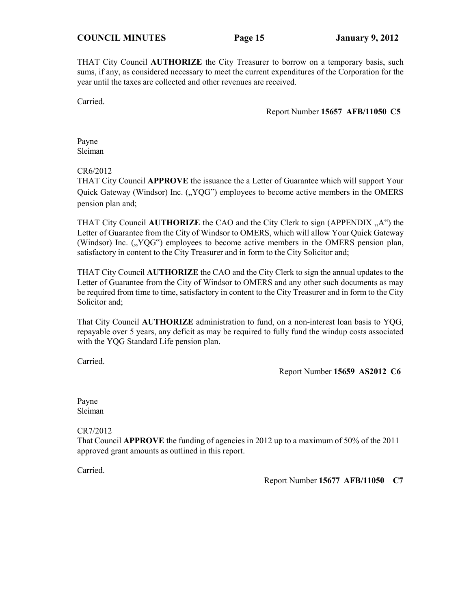THAT City Council **AUTHORIZE** the City Treasurer to borrow on a temporary basis, such sums, if any, as considered necessary to meet the current expenditures of the Corporation for the year until the taxes are collected and other revenues are received.

Carried.

Report Number **15657 AFB/11050 C5**

Payne Sleiman

CR6/2012

THAT City Council **APPROVE** the issuance the a Letter of Guarantee which will support Your Quick Gateway (Windsor) Inc. ("YQG") employees to become active members in the OMERS pension plan and;

THAT City Council **AUTHORIZE** the CAO and the City Clerk to sign (APPENDIX "A") the Letter of Guarantee from the City of Windsor to OMERS, which will allow Your Quick Gateway (Windsor) Inc.  $($ <sub>y</sub> $YQG'$ <sup>\*</sup>) employees to become active members in the OMERS pension plan, satisfactory in content to the City Treasurer and in form to the City Solicitor and;

THAT City Council **AUTHORIZE** the CAO and the City Clerk to sign the annual updates to the Letter of Guarantee from the City of Windsor to OMERS and any other such documents as may be required from time to time, satisfactory in content to the City Treasurer and in form to the City Solicitor and;

That City Council **AUTHORIZE** administration to fund, on a non-interest loan basis to YQG, repayable over 5 years, any deficit as may be required to fully fund the windup costs associated with the YQG Standard Life pension plan.

Carried.

Report Number **15659 AS2012 C6**

Payne Sleiman

CR7/2012

That Council **APPROVE** the funding of agencies in 2012 up to a maximum of 50% of the 2011 approved grant amounts as outlined in this report.

Carried.

Report Number **15677 AFB/11050 C7**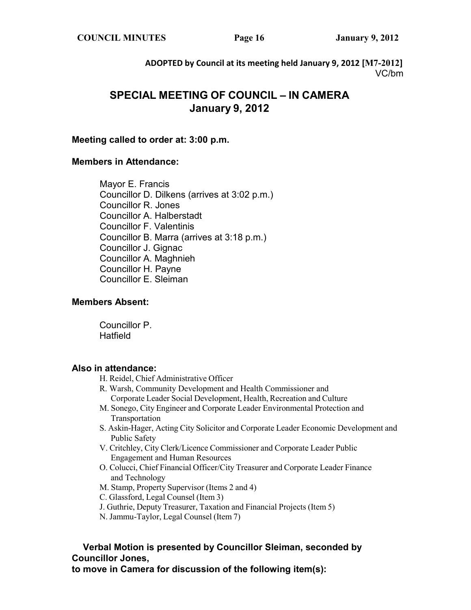**COUNCIL MINUTES Page 16 January 9, 2012**

**ADOPTED by Council at its meeting held January 9, 2012 [M7-2012]** VC/bm

# **SPECIAL MEETING OF COUNCIL – IN CAMERA January 9, 2012**

# **Meeting called to order at: 3:00 p.m.**

# **Members in Attendance:**

Mayor E. Francis Councillor D. Dilkens (arrives at 3:02 p.m.) Councillor R. Jones Councillor A. Halberstadt Councillor F. Valentinis Councillor B. Marra (arrives at 3:18 p.m.) Councillor J. Gignac Councillor A. Maghnieh Councillor H. Payne Councillor E. Sleiman

# **Members Absent:**

Councillor P. **Hatfield** 

# **Also in attendance:**

- H. Reidel, Chief Administrative Officer
- R. Warsh, Community Development and Health Commissioner and Corporate Leader Social Development, Health, Recreation and Culture
- M. Sonego, City Engineer and Corporate Leader Environmental Protection and Transportation
- S. Askin-Hager, Acting City Solicitor and Corporate Leader Economic Development and Public Safety
- V. Critchley, City Clerk/Licence Commissioner and Corporate Leader Public Engagement and Human Resources
- O. Colucci, Chief Financial Officer/City Treasurer and Corporate Leader Finance and Technology
- M. Stamp, Property Supervisor (Items 2 and 4)
- C. Glassford, Legal Counsel (Item 3)
- J. Guthrie, Deputy Treasurer, Taxation and Financial Projects (Item 5)
- N. Jammu-Taylor, Legal Counsel (Item 7)

# **Verbal Motion is presented by Councillor Sleiman, seconded by Councillor Jones,**

**to move in Camera for discussion of the following item(s):**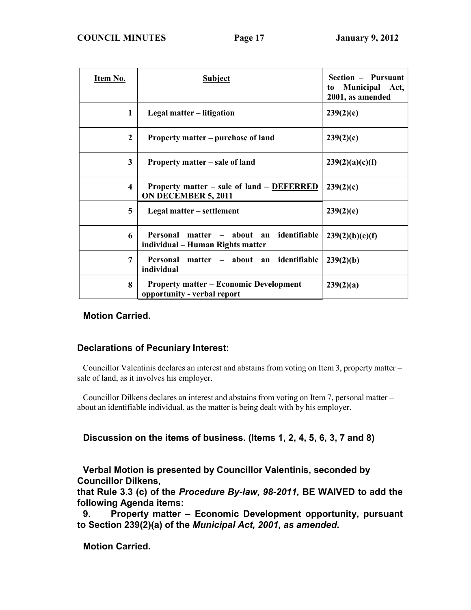| Item No.                | <b>Subject</b>                                                                       | Section – Pursuant<br>Municipal Act,<br>to<br>2001, as amended |
|-------------------------|--------------------------------------------------------------------------------------|----------------------------------------------------------------|
| 1                       | Legal matter – litigation                                                            | 239(2)(e)                                                      |
| $\mathbf{2}$            | Property matter – purchase of land                                                   | 239(2)(c)                                                      |
| 3                       | Property matter – sale of land                                                       | 239(2)(a)(c)(f)                                                |
| $\overline{\mathbf{4}}$ | Property matter – sale of land – DEFERRED<br>ON DECEMBER 5, 2011                     | 239(2)(c)                                                      |
| 5                       | Legal matter – settlement                                                            | 239(2)(e)                                                      |
| 6                       | identifiable<br>Personal<br>about an<br>matter –<br>individual – Human Rights matter | 239(2)(b)(e)(f)                                                |
| 7                       | Personal<br>matter – about an identifiable<br>individual                             | 239(2)(b)                                                      |
| 8                       | <b>Property matter – Economic Development</b><br>opportunity - verbal report         | 239(2)(a)                                                      |

# **Motion Carried.**

# **Declarations of Pecuniary Interest:**

Councillor Valentinis declares an interest and abstains from voting on Item 3, property matter – sale of land, as it involves his employer.

Councillor Dilkens declares an interest and abstains from voting on Item 7, personal matter – about an identifiable individual, as the matter is being dealt with by his employer.

**Discussion on the items of business. (Items 1, 2, 4, 5, 6, 3, 7 and 8)**

# **Verbal Motion is presented by Councillor Valentinis, seconded by Councillor Dilkens,**

**that Rule 3.3 (c) of the** *Procedure By-law, 98-2011,* **BE WAIVED to add the following Agenda items:**

**9. Property matter – Economic Development opportunity, pursuant to Section 239(2)(a) of the** *Municipal Act, 2001, as amended***.**

**Motion Carried.**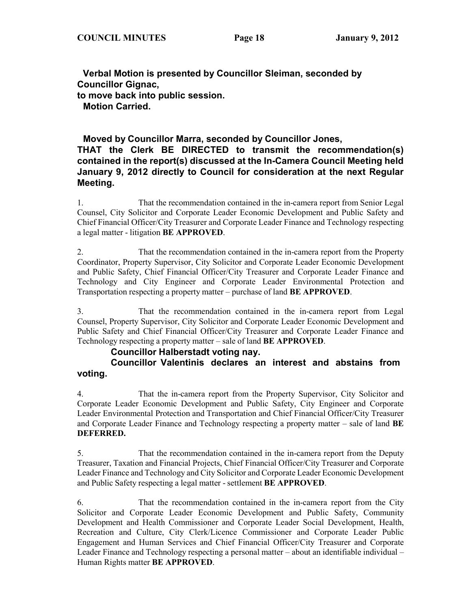**Verbal Motion is presented by Councillor Sleiman, seconded by Councillor Gignac, to move back into public session. Motion Carried.**

# **Moved by Councillor Marra, seconded by Councillor Jones, THAT the Clerk BE DIRECTED to transmit the recommendation(s) contained in the report(s) discussed at the In-Camera Council Meeting held January 9, 2012 directly to Council for consideration at the next Regular Meeting.**

1. That the recommendation contained in the in-camera report from Senior Legal Counsel, City Solicitor and Corporate Leader Economic Development and Public Safety and Chief Financial Officer/City Treasurer and Corporate Leader Finance and Technology respecting a legal matter - litigation **BE APPROVED**.

2. That the recommendation contained in the in-camera report from the Property Coordinator, Property Supervisor, City Solicitor and Corporate Leader Economic Development and Public Safety, Chief Financial Officer/City Treasurer and Corporate Leader Finance and Technology and City Engineer and Corporate Leader Environmental Protection and Transportation respecting a property matter – purchase of land **BE APPROVED**.

3. That the recommendation contained in the in-camera report from Legal Counsel, Property Supervisor, City Solicitor and Corporate Leader Economic Development and Public Safety and Chief Financial Officer/City Treasurer and Corporate Leader Finance and Technology respecting a property matter – sale of land **BE APPROVED**.

## **Councillor Halberstadt voting nay.**

# **Councillor Valentinis declares an interest and abstains from voting.**

4. That the in-camera report from the Property Supervisor, City Solicitor and Corporate Leader Economic Development and Public Safety, City Engineer and Corporate Leader Environmental Protection and Transportation and Chief Financial Officer/City Treasurer and Corporate Leader Finance and Technology respecting a property matter – sale of land **BE DEFERRED.**

5. That the recommendation contained in the in-camera report from the Deputy Treasurer, Taxation and Financial Projects, Chief Financial Officer/City Treasurer and Corporate Leader Finance and Technology and City Solicitor and Corporate Leader Economic Development and Public Safety respecting a legal matter - settlement **BE APPROVED**.

6. That the recommendation contained in the in-camera report from the City Solicitor and Corporate Leader Economic Development and Public Safety, Community Development and Health Commissioner and Corporate Leader Social Development, Health, Recreation and Culture, City Clerk/Licence Commissioner and Corporate Leader Public Engagement and Human Services and Chief Financial Officer/City Treasurer and Corporate Leader Finance and Technology respecting a personal matter – about an identifiable individual – Human Rights matter **BE APPROVED**.